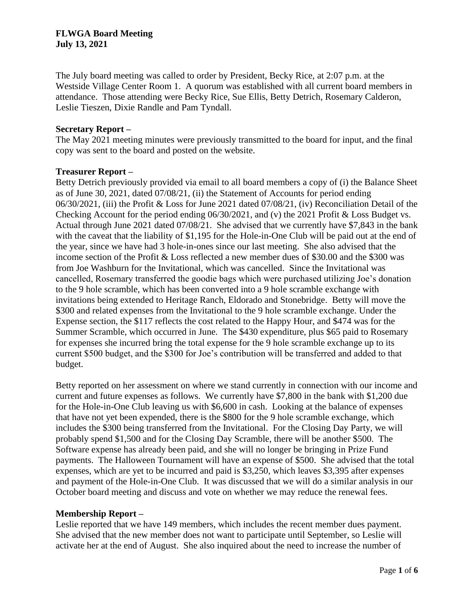The July board meeting was called to order by President, Becky Rice, at 2:07 p.m. at the Westside Village Center Room 1. A quorum was established with all current board members in attendance. Those attending were Becky Rice, Sue Ellis, Betty Detrich, Rosemary Calderon, Leslie Tieszen, Dixie Randle and Pam Tyndall.

### **Secretary Report –**

The May 2021 meeting minutes were previously transmitted to the board for input, and the final copy was sent to the board and posted on the website.

### **Treasurer Report –**

Betty Detrich previously provided via email to all board members a copy of (i) the Balance Sheet as of June 30, 2021, dated 07/08/21, (ii) the Statement of Accounts for period ending 06/30/2021, (iii) the Profit & Loss for June 2021 dated 07/08/21, (iv) Reconciliation Detail of the Checking Account for the period ending 06/30/2021, and (v) the 2021 Profit & Loss Budget vs. Actual through June 2021 dated 07/08/21. She advised that we currently have \$7,843 in the bank with the caveat that the liability of \$1,195 for the Hole-in-One Club will be paid out at the end of the year, since we have had 3 hole-in-ones since our last meeting. She also advised that the income section of the Profit & Loss reflected a new member dues of \$30.00 and the \$300 was from Joe Washburn for the Invitational, which was cancelled. Since the Invitational was cancelled, Rosemary transferred the goodie bags which were purchased utilizing Joe's donation to the 9 hole scramble, which has been converted into a 9 hole scramble exchange with invitations being extended to Heritage Ranch, Eldorado and Stonebridge. Betty will move the \$300 and related expenses from the Invitational to the 9 hole scramble exchange. Under the Expense section, the \$117 reflects the cost related to the Happy Hour, and \$474 was for the Summer Scramble, which occurred in June. The \$430 expenditure, plus \$65 paid to Rosemary for expenses she incurred bring the total expense for the 9 hole scramble exchange up to its current \$500 budget, and the \$300 for Joe's contribution will be transferred and added to that budget.

Betty reported on her assessment on where we stand currently in connection with our income and current and future expenses as follows. We currently have \$7,800 in the bank with \$1,200 due for the Hole-in-One Club leaving us with \$6,600 in cash. Looking at the balance of expenses that have not yet been expended, there is the \$800 for the 9 hole scramble exchange, which includes the \$300 being transferred from the Invitational. For the Closing Day Party, we will probably spend \$1,500 and for the Closing Day Scramble, there will be another \$500. The Software expense has already been paid, and she will no longer be bringing in Prize Fund payments. The Halloween Tournament will have an expense of \$500. She advised that the total expenses, which are yet to be incurred and paid is \$3,250, which leaves \$3,395 after expenses and payment of the Hole-in-One Club. It was discussed that we will do a similar analysis in our October board meeting and discuss and vote on whether we may reduce the renewal fees.

## **Membership Report –**

Leslie reported that we have 149 members, which includes the recent member dues payment. She advised that the new member does not want to participate until September, so Leslie will activate her at the end of August. She also inquired about the need to increase the number of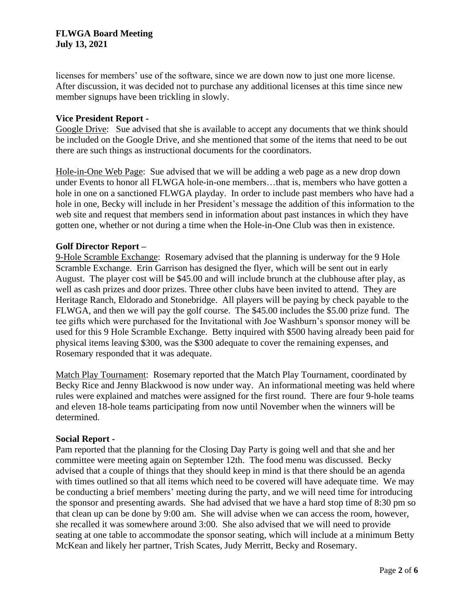licenses for members' use of the software, since we are down now to just one more license. After discussion, it was decided not to purchase any additional licenses at this time since new member signups have been trickling in slowly.

## **Vice President Report -**

Google Drive: Sue advised that she is available to accept any documents that we think should be included on the Google Drive, and she mentioned that some of the items that need to be out there are such things as instructional documents for the coordinators.

Hole-in-One Web Page: Sue advised that we will be adding a web page as a new drop down under Events to honor all FLWGA hole-in-one members…that is, members who have gotten a hole in one on a sanctioned FLWGA playday. In order to include past members who have had a hole in one, Becky will include in her President's message the addition of this information to the web site and request that members send in information about past instances in which they have gotten one, whether or not during a time when the Hole-in-One Club was then in existence.

### **Golf Director Report –**

9-Hole Scramble Exchange: Rosemary advised that the planning is underway for the 9 Hole Scramble Exchange. Erin Garrison has designed the flyer, which will be sent out in early August. The player cost will be \$45.00 and will include brunch at the clubhouse after play, as well as cash prizes and door prizes. Three other clubs have been invited to attend. They are Heritage Ranch, Eldorado and Stonebridge. All players will be paying by check payable to the FLWGA, and then we will pay the golf course. The \$45.00 includes the \$5.00 prize fund. The tee gifts which were purchased for the Invitational with Joe Washburn's sponsor money will be used for this 9 Hole Scramble Exchange. Betty inquired with \$500 having already been paid for physical items leaving \$300, was the \$300 adequate to cover the remaining expenses, and Rosemary responded that it was adequate.

Match Play Tournament: Rosemary reported that the Match Play Tournament, coordinated by Becky Rice and Jenny Blackwood is now under way. An informational meeting was held where rules were explained and matches were assigned for the first round. There are four 9-hole teams and eleven 18-hole teams participating from now until November when the winners will be determined.

#### **Social Report -**

Pam reported that the planning for the Closing Day Party is going well and that she and her committee were meeting again on September 12th. The food menu was discussed. Becky advised that a couple of things that they should keep in mind is that there should be an agenda with times outlined so that all items which need to be covered will have adequate time. We may be conducting a brief members' meeting during the party, and we will need time for introducing the sponsor and presenting awards. She had advised that we have a hard stop time of 8:30 pm so that clean up can be done by 9:00 am. She will advise when we can access the room, however, she recalled it was somewhere around 3:00. She also advised that we will need to provide seating at one table to accommodate the sponsor seating, which will include at a minimum Betty McKean and likely her partner, Trish Scates, Judy Merritt, Becky and Rosemary.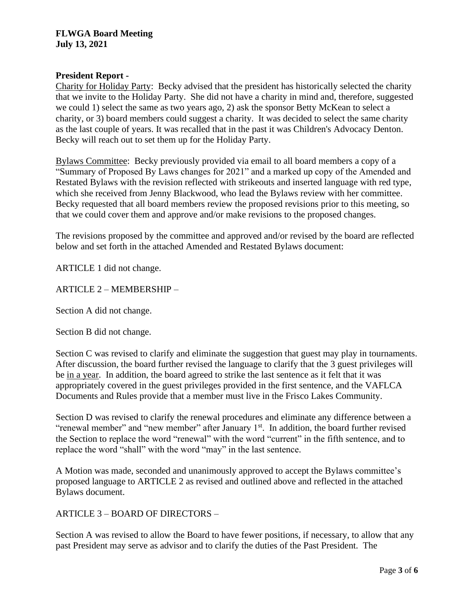# **President Report -**

Charity for Holiday Party: Becky advised that the president has historically selected the charity that we invite to the Holiday Party. She did not have a charity in mind and, therefore, suggested we could 1) select the same as two years ago, 2) ask the sponsor Betty McKean to select a charity, or 3) board members could suggest a charity. It was decided to select the same charity as the last couple of years. It was recalled that in the past it was Children's Advocacy Denton. Becky will reach out to set them up for the Holiday Party.

Bylaws Committee: Becky previously provided via email to all board members a copy of a "Summary of Proposed By Laws changes for 2021" and a marked up copy of the Amended and Restated Bylaws with the revision reflected with strikeouts and inserted language with red type, which she received from Jenny Blackwood, who lead the Bylaws review with her committee. Becky requested that all board members review the proposed revisions prior to this meeting, so that we could cover them and approve and/or make revisions to the proposed changes.

The revisions proposed by the committee and approved and/or revised by the board are reflected below and set forth in the attached Amended and Restated Bylaws document:

ARTICLE 1 did not change.

ARTICLE 2 – MEMBERSHIP –

Section A did not change.

Section B did not change.

Section C was revised to clarify and eliminate the suggestion that guest may play in tournaments. After discussion, the board further revised the language to clarify that the 3 guest privileges will be in a year. In addition, the board agreed to strike the last sentence as it felt that it was appropriately covered in the guest privileges provided in the first sentence, and the VAFLCA Documents and Rules provide that a member must live in the Frisco Lakes Community.

Section D was revised to clarify the renewal procedures and eliminate any difference between a "renewal member" and "new member" after January  $1<sup>st</sup>$ . In addition, the board further revised the Section to replace the word "renewal" with the word "current" in the fifth sentence, and to replace the word "shall" with the word "may" in the last sentence.

A Motion was made, seconded and unanimously approved to accept the Bylaws committee's proposed language to ARTICLE 2 as revised and outlined above and reflected in the attached Bylaws document.

ARTICLE 3 – BOARD OF DIRECTORS –

Section A was revised to allow the Board to have fewer positions, if necessary, to allow that any past President may serve as advisor and to clarify the duties of the Past President. The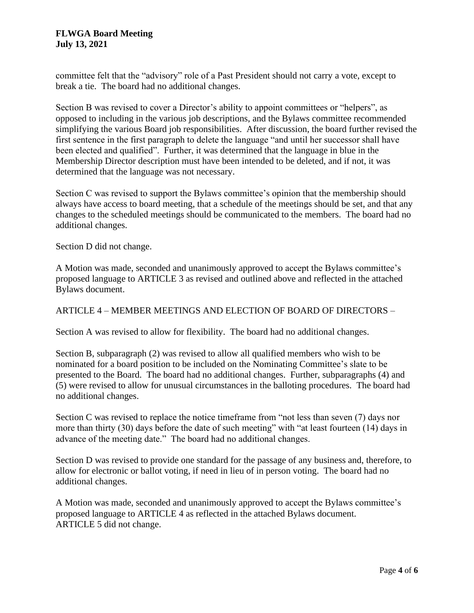committee felt that the "advisory" role of a Past President should not carry a vote, except to break a tie. The board had no additional changes.

Section B was revised to cover a Director's ability to appoint committees or "helpers", as opposed to including in the various job descriptions, and the Bylaws committee recommended simplifying the various Board job responsibilities. After discussion, the board further revised the first sentence in the first paragraph to delete the language "and until her successor shall have been elected and qualified". Further, it was determined that the language in blue in the Membership Director description must have been intended to be deleted, and if not, it was determined that the language was not necessary.

Section C was revised to support the Bylaws committee's opinion that the membership should always have access to board meeting, that a schedule of the meetings should be set, and that any changes to the scheduled meetings should be communicated to the members. The board had no additional changes.

Section D did not change.

A Motion was made, seconded and unanimously approved to accept the Bylaws committee's proposed language to ARTICLE 3 as revised and outlined above and reflected in the attached Bylaws document.

## ARTICLE 4 – MEMBER MEETINGS AND ELECTION OF BOARD OF DIRECTORS –

Section A was revised to allow for flexibility. The board had no additional changes.

Section B, subparagraph (2) was revised to allow all qualified members who wish to be nominated for a board position to be included on the Nominating Committee's slate to be presented to the Board. The board had no additional changes. Further, subparagraphs (4) and (5) were revised to allow for unusual circumstances in the balloting procedures. The board had no additional changes.

Section C was revised to replace the notice timeframe from "not less than seven (7) days nor more than thirty (30) days before the date of such meeting" with "at least fourteen (14) days in advance of the meeting date." The board had no additional changes.

Section D was revised to provide one standard for the passage of any business and, therefore, to allow for electronic or ballot voting, if need in lieu of in person voting. The board had no additional changes.

A Motion was made, seconded and unanimously approved to accept the Bylaws committee's proposed language to ARTICLE 4 as reflected in the attached Bylaws document. ARTICLE 5 did not change.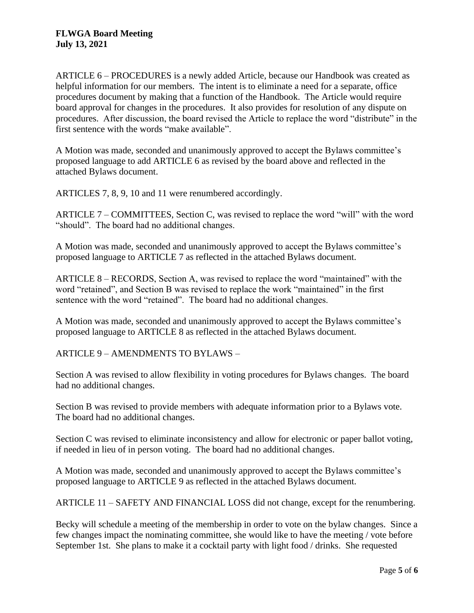ARTICLE 6 – PROCEDURES is a newly added Article, because our Handbook was created as helpful information for our members. The intent is to eliminate a need for a separate, office procedures document by making that a function of the Handbook. The Article would require board approval for changes in the procedures. It also provides for resolution of any dispute on procedures. After discussion, the board revised the Article to replace the word "distribute" in the first sentence with the words "make available".

A Motion was made, seconded and unanimously approved to accept the Bylaws committee's proposed language to add ARTICLE 6 as revised by the board above and reflected in the attached Bylaws document.

ARTICLES 7, 8, 9, 10 and 11 were renumbered accordingly.

ARTICLE 7 – COMMITTEES, Section C, was revised to replace the word "will" with the word "should". The board had no additional changes.

A Motion was made, seconded and unanimously approved to accept the Bylaws committee's proposed language to ARTICLE 7 as reflected in the attached Bylaws document.

ARTICLE 8 – RECORDS, Section A, was revised to replace the word "maintained" with the word "retained", and Section B was revised to replace the work "maintained" in the first sentence with the word "retained". The board had no additional changes.

A Motion was made, seconded and unanimously approved to accept the Bylaws committee's proposed language to ARTICLE 8 as reflected in the attached Bylaws document.

ARTICLE 9 – AMENDMENTS TO BYLAWS –

Section A was revised to allow flexibility in voting procedures for Bylaws changes. The board had no additional changes.

Section B was revised to provide members with adequate information prior to a Bylaws vote. The board had no additional changes.

Section C was revised to eliminate inconsistency and allow for electronic or paper ballot voting, if needed in lieu of in person voting. The board had no additional changes.

A Motion was made, seconded and unanimously approved to accept the Bylaws committee's proposed language to ARTICLE 9 as reflected in the attached Bylaws document.

ARTICLE 11 – SAFETY AND FINANCIAL LOSS did not change, except for the renumbering.

Becky will schedule a meeting of the membership in order to vote on the bylaw changes. Since a few changes impact the nominating committee, she would like to have the meeting / vote before September 1st. She plans to make it a cocktail party with light food / drinks. She requested